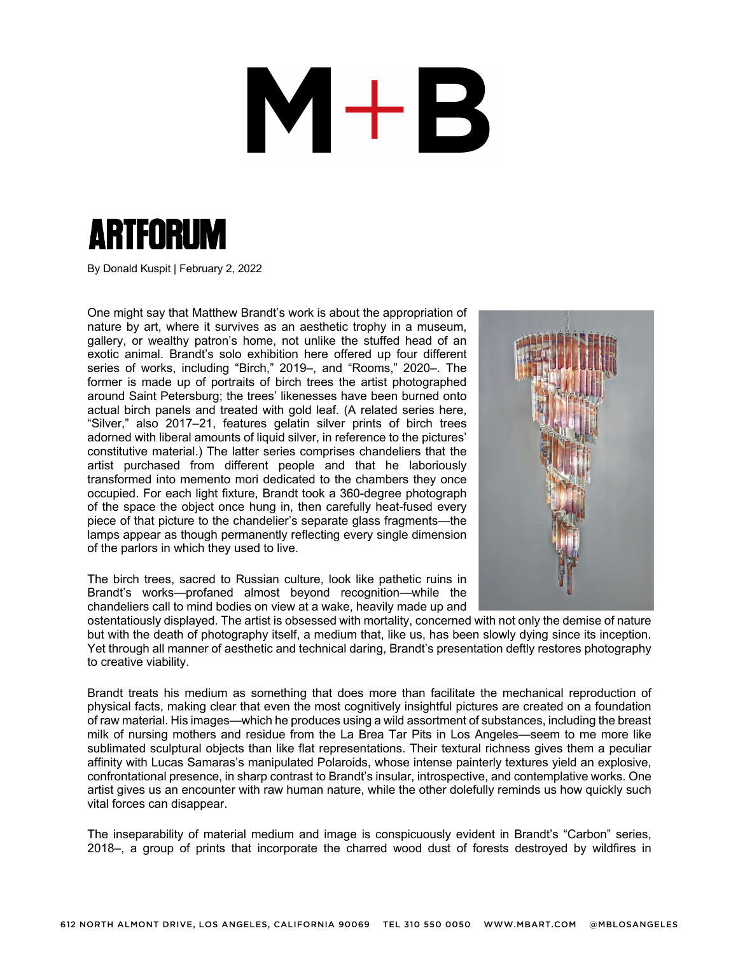## M+B



By Donald Kuspit | February 2, 2022

One might say that Matthew Brandt's work is about the appropriation of nature by art, where it survives as an aesthetic trophy in a museum, gallery, or wealthy patron's home, not unlike the stuffed head of an exotic animal. Brandt's solo exhibition here offered up four different series of works, including "Birch," 2019–, and "Rooms," 2020–. The former is made up of portraits of birch trees the artist photographed around Saint Petersburg; the trees' likenesses have been burned onto actual birch panels and treated with gold leaf. (A related series here, "Silver," also 2017–21, features gelatin silver prints of birch trees adorned with liberal amounts of liquid silver, in reference to the pictures' constitutive material.) The latter series comprises chandeliers that the artist purchased from different people and that he laboriously transformed into memento mori dedicated to the chambers they once occupied. For each light fixture, Brandt took a 360-degree photograph of the space the object once hung in, then carefully heat-fused every piece of that picture to the chandelier's separate glass fragments—the lamps appear as though permanently reflecting every single dimension of the parlors in which they used to live.



The birch trees, sacred to Russian culture, look like pathetic ruins in Brandt's works—profaned almost beyond recognition—while the chandeliers call to mind bodies on view at a wake, heavily made up and

ostentatiously displayed. The artist is obsessed with mortality, concerned with not only the demise of nature but with the death of photography itself, a medium that, like us, has been slowly dying since its inception. Yet through all manner of aesthetic and technical daring, Brandt's presentation deftly restores photography to creative viability.

Brandt treats his medium as something that does more than facilitate the mechanical reproduction of physical facts, making clear that even the most cognitively insightful pictures are created on a foundation of raw material. His images—which he produces using a wild assortment of substances, including the breast milk of nursing mothers and residue from the La Brea Tar Pits in Los Angeles—seem to me more like sublimated sculptural objects than like flat representations. Their textural richness gives them a peculiar affinity with Lucas Samaras's manipulated Polaroids, whose intense painterly textures yield an explosive, confrontational presence, in sharp contrast to Brandt's insular, introspective, and contemplative works. One artist gives us an encounter with raw human nature, while the other dolefully reminds us how quickly such vital forces can disappear.

The inseparability of material medium and image is conspicuously evident in Brandt's "Carbon" series, 2018–, a group of prints that incorporate the charred wood dust of forests destroyed by wildfires in